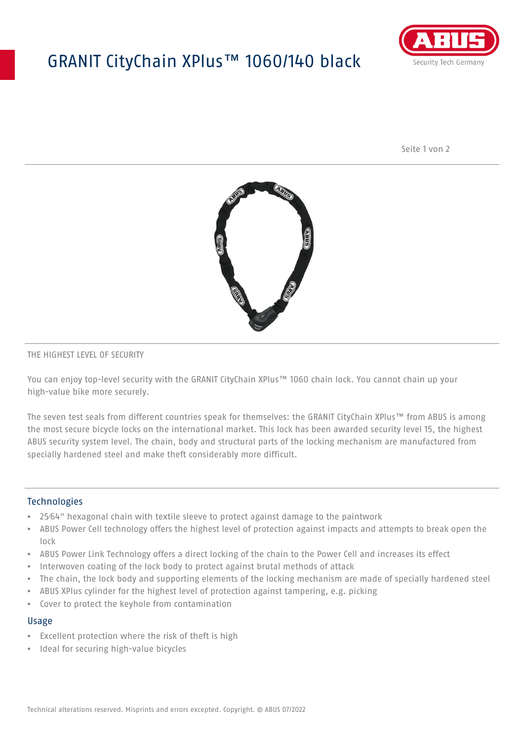# GRANIT CityChain XPlus™ 1060/140 black



Seite 1 von 2



### THE HIGHEST LEVEL OF SECURITY

You can enjoy top-level security with the GRANIT CityChain XPlus™ 1060 chain lock. You cannot chain up your high-value bike more securely.

The seven test seals from different countries speak for themselves: the GRANIT CityChain XPlus™ from ABUS is among the most secure bicycle locks on the international market. This lock has been awarded security level 15, the highest ABUS security system level. The chain, body and structural parts of the locking mechanism are manufactured from specially hardened steel and make theft considerably more difficult.

### **Technologies**

- 25⁄64" hexagonal chain with textile sleeve to protect against damage to the paintwork
- ABUS Power Cell technology offers the highest level of protection against impacts and attempts to break open the lock
- ABUS Power Link Technology offers a direct locking of the chain to the Power Cell and increases its effect
- Interwoven coating of the lock body to protect against brutal methods of attack
- The chain, the lock body and supporting elements of the locking mechanism are made of specially hardened steel
- ABUS XPlus cylinder for the highest level of protection against tampering, e.g. picking
- Cover to protect the keyhole from contamination

#### Usage

- Excellent protection where the risk of theft is high
- Ideal for securing high-value bicycles